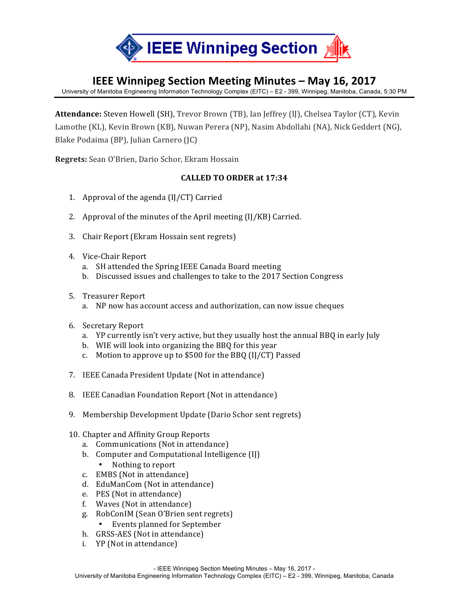

# **IEEE Winnipeg Section Meeting Minutes – May 16, 2017**

University of Manitoba Engineering Information Technology Complex (EITC) – E2 - 399, Winnipeg, Manitoba, Canada, 5:30 PM

Attendance: Steven Howell (SH), Trevor Brown (TB), Ian Jeffrey (IJ), Chelsea Taylor (CT), Kevin Lamothe (KL), Kevin Brown (KB), Nuwan Perera (NP), Nasim Abdollahi (NA), Nick Geddert (NG), Blake Podaima (BP), Julian Carnero (JC)

**Regrets:** Sean O'Brien, Dario Schor, Ekram Hossain

#### **CALLED TO ORDER at 17:34**

- 1. Approval of the agenda  $\text{[I]/CT}$ ) Carried
- 2. Approval of the minutes of the April meeting  $\left(\frac{I}{K}B\right)$  Carried.
- 3. Chair Report (Ekram Hossain sent regrets)
- 4. Vice-Chair Report
	- a. SH attended the Spring IEEE Canada Board meeting
	- b. Discussed issues and challenges to take to the 2017 Section Congress
- 5. Treasurer Report
	- a. NP now has account access and authorization, can now issue cheques
- 6. Secretary Report
	- a. YP currently isn't very active, but they usually host the annual BBQ in early July
	- b. WIE will look into organizing the BBQ for this year
	- c. Motion to approve up to  $$500$  for the BBQ (IJ/CT) Passed
- 7. IEEE Canada President Update (Not in attendance)
- 8. IEEE Canadian Foundation Report (Not in attendance)
- 9. Membership Development Update (Dario Schor sent regrets)
- 10. Chapter and Affinity Group Reports
	- a. Communications (Not in attendance)
	- b. Computer and Computational Intelligence (IJ)
		- Nothing to report
	- c. EMBS (Not in attendance)
	- d. EduManCom (Not in attendance)
	- e. PES (Not in attendance)
	- f. Waves (Not in attendance)
	- g. RobConIM (Sean O'Brien sent regrets)
		- Events planned for September
	- h. GRSS-AES (Not in attendance)
	- i. YP (Not in attendance)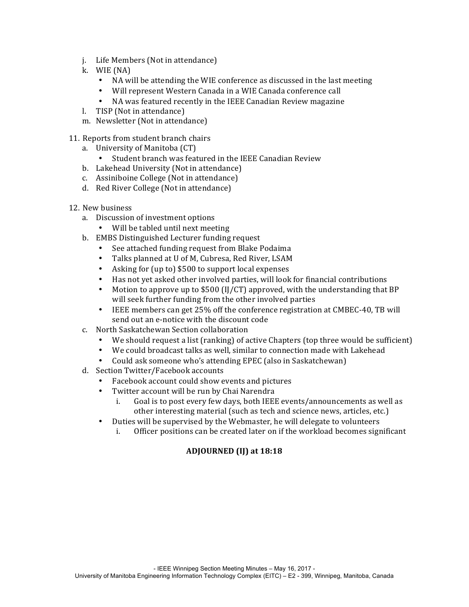- j. Life Members (Not in attendance)
- k. WIE (NA)
	- NA will be attending the WIE conference as discussed in the last meeting
	- Will represent Western Canada in a WIE Canada conference call
	- NA was featured recently in the IEEE Canadian Review magazine
- l. TISP (Not in attendance)
- m. Newsletter (Not in attendance)
- 11. Reports from student branch chairs
	- a. University of Manitoba (CT)
		- Student branch was featured in the IEEE Canadian Review
	- b. Lakehead University (Not in attendance)
	- c. Assiniboine College (Not in attendance)
	- d. Red River College (Not in attendance)
- 12. New business
	- a. Discussion of investment options
		- Will be tabled until next meeting
	- b. EMBS Distinguished Lecturer funding request
		- See attached funding request from Blake Podaima
		- Talks planned at U of M, Cubresa, Red River, LSAM
		- Asking for (up to) \$500 to support local expenses
		- Has not yet asked other involved parties, will look for financial contributions
		- Motion to approve up to \$500 (IJ/CT) approved, with the understanding that BP will seek further funding from the other involved parties
		- IEEE members can get 25% off the conference registration at CMBEC-40, TB will send out an e-notice with the discount code
	- c. North Saskatchewan Section collaboration
		- We should request a list (ranking) of active Chapters (top three would be sufficient)
		- We could broadcast talks as well, similar to connection made with Lakehead
		- Could ask someone who's attending EPEC (also in Saskatchewan)
	- d. Section Twitter/Facebook accounts
		- Facebook account could show events and pictures
		- Twitter account will be run by Chai Narendra
			- i. Goal is to post every few days, both IEEE events/announcements as well as other interesting material (such as tech and science news, articles, etc.)
		- Duties will be supervised by the Webmaster, he will delegate to volunteers
			- i. Officer positions can be created later on if the workload becomes significant

#### **ADJOURNED (IJ) at 18:18**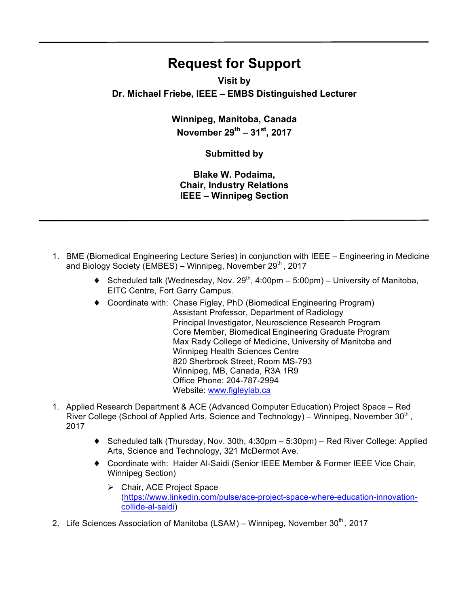# **Request for Support**

## **Visit by Dr. Michael Friebe, IEEE – EMBS Distinguished Lecturer**

**Winnipeg, Manitoba, Canada November 29th – 31st, 2017**

### **Submitted by**

**Blake W. Podaima, Chair, Industry Relations IEEE – Winnipeg Section** 

- 1. BME (Biomedical Engineering Lecture Series) in conjunction with IEEE Engineering in Medicine and Biology Society (EMBES) - Winnipeg, November 29<sup>th</sup>, 2017
	- $\blacklozenge$  Scheduled talk (Wednesday, Nov. 29<sup>th</sup>, 4:00pm 5:00pm) University of Manitoba, EITC Centre, Fort Garry Campus.
	- ♦ Coordinate with: Chase Figley, PhD (Biomedical Engineering Program) Assistant Professor, Department of Radiology Principal Investigator, Neuroscience Research Program Core Member, Biomedical Engineering Graduate Program Max Rady College of Medicine, University of Manitoba and Winnipeg Health Sciences Centre 820 Sherbrook Street, Room MS-793 Winnipeg, MB, Canada, R3A 1R9 Office Phone: 204-787-2994 Website: www.figleylab.ca
- 1. Applied Research Department & ACE (Advanced Computer Education) Project Space Red River College (School of Applied Arts, Science and Technology) – Winnipeg, November  $30<sup>th</sup>$ , 2017
	- ♦ Scheduled talk (Thursday, Nov. 30th, 4:30pm 5:30pm) Red River College: Applied Arts, Science and Technology, 321 McDermot Ave.
	- ♦ Coordinate with: Haider Al-Saidi (Senior IEEE Member & Former IEEE Vice Chair, Winnipeg Section)
		- $\triangleright$  Chair, ACE Project Space (https://www.linkedin.com/pulse/ace-project-space-where-education-innovationcollide-al-saidi)
- 2. Life Sciences Association of Manitoba (LSAM) Winnipeg, November  $30<sup>th</sup>$ , 2017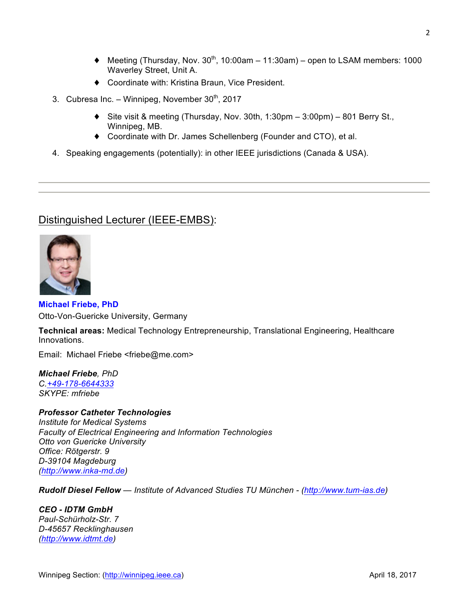- $\blacklozenge$  Meeting (Thursday, Nov. 30<sup>th</sup>, 10:00am 11:30am) open to LSAM members: 1000 Waverley Street, Unit A.
- ♦ Coordinate with: Kristina Braun, Vice President.
- 3. Cubresa Inc. Winnipeg, November  $30<sup>th</sup>$ , 2017
	- ♦ Site visit & meeting (Thursday, Nov. 30th, 1:30pm 3:00pm) 801 Berry St., Winnipeg, MB.
	- ♦ Coordinate with Dr. James Schellenberg (Founder and CTO), et al.
- 4. Speaking engagements (potentially): in other IEEE jurisdictions (Canada & USA).

## Distinguished Lecturer (IEEE-EMBS):



#### **Michael Friebe, PhD** Otto-Von-Guericke University, Germany

**Technical areas:** Medical Technology Entrepreneurship, Translational Engineering, Healthcare Innovations.

Email: Michael Friebe <friebe@me.com>

*Michael Friebe, PhD C.+49-178-6644333 SKYPE: mfriebe*

#### *Professor Catheter Technologies*

*Institute for Medical Systems Faculty of Electrical Engineering and Information Technologies Otto von Guericke University Office: Rötgerstr. 9 D-39104 Magdeburg (http://www.inka-md.de)*

*Rudolf Diesel Fellow — Institute of Advanced Studies TU München - (http://www.tum-ias.de)*

*CEO - IDTM GmbH Paul-Schürholz-Str. 7 D-45657 Recklinghausen (http://www.idtmt.de)*